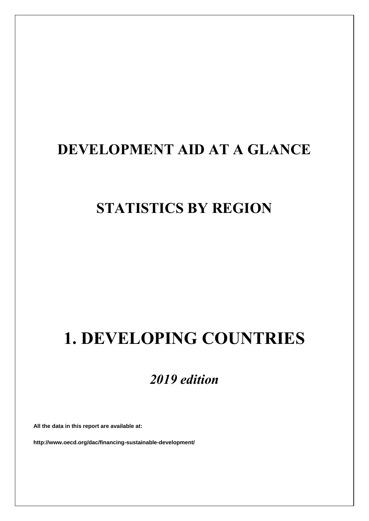# **DEVELOPMENT AID AT A GLANCE**

# **STATISTICS BY REGION**

# **1. DEVELOPING COUNTRIES**

# *2019 edition*

**All the data in this report are available at:**

**http://www.oecd.org/dac/financing-sustainable-development/**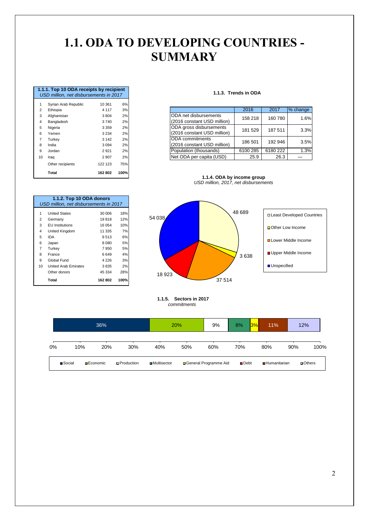## **1.1. ODA TO DEVELOPING COUNTRIES - SUMMARY**

|                | 1.1.1. Top 10 ODA receipts by recipient<br>USD million, net disbursements in 2017 |         |      |
|----------------|-----------------------------------------------------------------------------------|---------|------|
| 1              | Syrian Arab Republic                                                              | 10 361  | 6%   |
| $\overline{2}$ | Ethiopia                                                                          | 4 1 1 7 | 3%   |
| 3              | Afghanistan                                                                       | 3804    | 2%   |
| 4              | Bangladesh                                                                        | 3740    | 2%   |
| 5              | Nigeria                                                                           | 3 3 5 9 | 2%   |
| 6              | Yemen                                                                             | 3 2 3 4 | 2%   |
| $\overline{7}$ | Turkey                                                                            | 3 1 4 2 | 2%   |
| 8              | India                                                                             | 3 0 9 4 | 2%   |
| 9              | Jordan                                                                            | 2921    | 2%   |
| 10             | Iraq                                                                              | 2 9 0 7 | 2%   |
|                | Other recipients                                                                  | 122 123 | 75%  |
|                | Total                                                                             | 162 802 | 100% |

1 United States 30 006 18%<br>2 Germany 19 818 12%

**1.1.2. Top 10 ODA donors**

*USD million, net disbursements in 2017*

 EU Institutions 16 054 10% United Kingdom 11 335 7% IDA 9 513 6% Japan 8 080 5%

8 France 6 649 4% 9 Global Fund 4 226 3% 10 United Arab Emirates 3 835 2% Other donors 45 334 28% **Total 162 802 100%**

2 Germany

Turkey

#### **1.1.3. Trends in ODA**

| <b>Sylidii Aldu Republic</b> | ו טכטו  | $O$ /0 |
|------------------------------|---------|--------|
| Ethiopia                     | 4 1 1 7 | 3%     |
| Afghanistan                  | 3804    | 2%     |
| Bangladesh                   | 3740    | 2%     |
| Nigeria<br>5                 | 3 3 5 9 | 2%     |
| Yemen                        | 3 2 3 4 | 2%     |
| $\overline{7}$<br>Turkev     | 3 1 4 2 | 2%     |
| India                        | 3 0 9 4 | 2%     |
| Jordan                       | 2921    | 2%     |
| 10<br>Iraq                   | 2 9 0 7 | 2%     |
|                              |         |        |

**1.1.4. ODA by income group** *USD million, 2017, net disbursements*



 **1.1.5. Sectors in 2017**  *commitments*

|    |         |                   | 36% |                     |                      | 20% | 9%                      | 8%<br>3%      | 11%                 |     | 12%           |
|----|---------|-------------------|-----|---------------------|----------------------|-----|-------------------------|---------------|---------------------|-----|---------------|
| 0% | 10%     |                   | 20% | 30%                 | 40%                  | 50% | 60%                     | 70%           | 80%                 | 90% | 100%          |
|    | ■Social | <b>□</b> Economic |     | <b>D</b> Production | <b>□</b> Multisector |     | □ General Programme Aid | <b>■</b> Debt | <b>Humanitarian</b> |     | $\Box$ Others |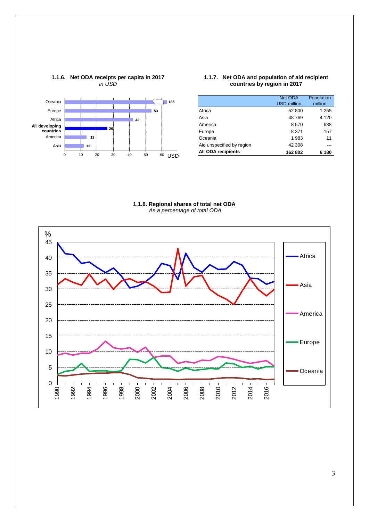

#### **1.1.7. Net ODA and population of aid recipient countries by region in 2017**

|                           | Net ODA<br><b>USD million</b> | Population<br>million |
|---------------------------|-------------------------------|-----------------------|
| Africa                    | 52 800                        | 1 255                 |
| Asia                      | 48769                         | 4 1 2 0               |
| America                   | 8570                          | 638                   |
| Europe                    | 8 3 7 1                       | 157                   |
| Oceania                   | 1983                          | 11                    |
| Aid unspecified by region | 42 308                        |                       |
| <b>All ODA recipients</b> | 162 802                       | 6 180                 |

**1.1.8. Regional shares of total net ODA** *As a percentage of total ODA*

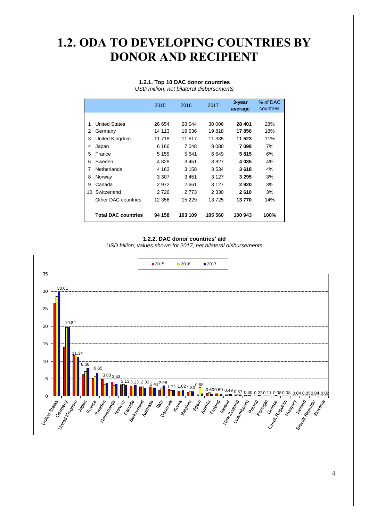## **1.2. ODA TO DEVELOPING COUNTRIES BY DONOR AND RECIPIENT**

#### **1.2.1. Top 10 DAC donor countries** *USD million, net bilateral disbursements*

|    |                            | 2015    | 2016     | 2017    | 3-year<br>average | % of DAC<br>countries |
|----|----------------------------|---------|----------|---------|-------------------|-----------------------|
|    |                            |         |          |         |                   |                       |
| 1  | <b>United States</b>       | 26 654  | 28 544   | 30 006  | 28 401            | 28%                   |
| 2  | Germany                    | 14 113  | 19636    | 19818   | 17856             | 18%                   |
| 3  | United Kingdom             | 11 718  | 11 517   | 11 335  | 11 523            | 11%                   |
| 4  | Japan                      | 6 1 6 6 | 7048     | 8 0 8 0 | 7098              | 7%                    |
| 5  | France                     | 5 1 5 5 | 5641     | 6649    | 5815              | 6%                    |
| 6  | Sweden                     | 4828    | 3451     | 3827    | 4035              | 4%                    |
| 7  | <b>Netherlands</b>         | 4 1 6 3 | 3 1 5 8  | 3534    | 3618              | 4%                    |
| 8  | Norway                     | 3 3 0 7 | 3451     | 3 1 2 7 | 3 2 9 5           | 3%                    |
| 9  | Canada                     | 2972    | 2661     | 3 1 2 7 | 2920              | 3%                    |
| 10 | Switzerland                | 2726    | 2 7 7 3  | 2 3 3 0 | 2610              | 3%                    |
|    | Other DAC countries        | 12 356  | 15 2 2 9 | 13725   | 13770             | 14%                   |
|    | <b>Total DAC countries</b> | 94 158  | 103 109  | 105 560 | 100 943           | 100%                  |

#### **1.2.2. DAC donor countries' aid**

*USD billion, values shown for 2017, net bilateral disbursements*

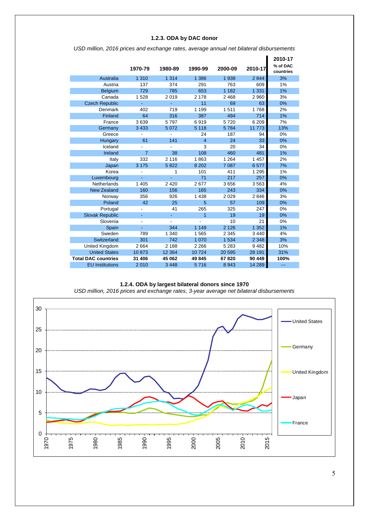### **1.2.3. ODA by DAC donor**

|                            | 1970-79        | 1980-89 | 1990-99        | 2000-09 | 2010-17 | 2010-17<br>% of DAC<br>countries |
|----------------------------|----------------|---------|----------------|---------|---------|----------------------------------|
| Australia                  | 1 3 1 0        | 1 3 1 4 | 1 386          | 1938    | 2844    | 3%                               |
| Austria                    | 137            | 374     | 291            | 763     | 609     | 1%                               |
| Belgium                    | 729            | 785     | 653            | 1 1 8 2 | 1 3 3 1 | 1%                               |
| Canada                     | 1528           | 2019    | 2 1 7 8        | 2 4 6 8 | 2960    | 3%                               |
| <b>Czech Republic</b>      |                |         | 11             | 69      | 63      | 0%                               |
| Denmark                    | 402            | 719     | 1 1 9 9        | 1511    | 1768    | 2%                               |
| Finland                    | 64             | 316     | 387            | 494     | 714     | 1%                               |
| France                     | 3639           | 5797    | 6919           | 5720    | 6 2 0 9 | 7%                               |
| Germany                    | 3 4 3 3        | 5 0 7 2 | 5 1 1 8        | 5784    | 11 773  | 13%                              |
| Greece                     |                |         | 24             | 187     | 94      | 0%                               |
| Hungary                    | 61             | 141     | $\overline{4}$ | 24      | 33      | 0%                               |
| Iceland                    |                |         | 3              | 20      | 34      | 0%                               |
| Ireland                    | $\overline{7}$ | 38      | 108            | 460     | 481     | 1%                               |
| Italy                      | 332            | 2 1 1 6 | 1863           | 1 2 6 4 | 1 4 5 7 | 2%                               |
| Japan                      | 3 1 7 5        | 5822    | 8 2 0 2        | 7 0 8 7 | 6577    | 7%                               |
| Korea                      |                | 1       | 101            | 411     | 1 2 9 5 | 1%                               |
| Luxembourg                 |                |         | 71             | 217     | 257     | 0%                               |
| Netherlands                | 1 4 0 5        | 2 4 2 0 | 2677           | 3656    | 3563    | 4%                               |
| <b>New Zealand</b>         | 160            | 156     | 165            | 243     | 334     | 0%                               |
| Norway                     | 356            | 926     | 1 4 3 8        | 2 0 2 9 | 2846    | 3%                               |
| Poland                     | 42             | 25      | 5              | 57      | 109     | 0%                               |
| Portugal                   |                | 41      | 265            | 325     | 247     | 0%                               |
| <b>Slovak Republic</b>     | ٠              | ٠       | 1              | 19      | 19      | 0%                               |
| Slovenia                   |                |         | $\overline{a}$ | 10      | 21      | 0%                               |
| Spain                      |                | 344     | 1 1 4 9        | 2 1 2 6 | 1 3 5 2 | 1%                               |
| Sweden                     | 789            | 1 340   | 1565           | 2 3 4 5 | 3 4 4 0 | 4%                               |
| Switzerland                | 301            | 742     | 1 0 7 0        | 1 5 3 4 | 2 3 4 8 | 3%                               |
| United Kingdom             | 2664           | 2 1 8 8 | 2 2 6 6        | 5 2 8 3 | 9482    | 10%                              |
| <b>United States</b>       | 10873          | 12 3 64 | 10724          | 20 595  | 28 191  | 31%                              |
| <b>Total DAC countries</b> | 31 406         | 45 062  | 49845          | 67820   | 90 449  | 100%                             |
| <b>EU</b> Institutions     | 2010           | 3 4 4 8 | 5716           | 8 9 4 3 | 14 289  | ---                              |

*USD million, 2016 prices and exchange rates, average annual net bilateral disbursements*

#### **1.2.4. ODA by largest bilateral donors since 1970**



 $\begin{matrix} 1970 & 1970 & 1970 & 1970 & 1970 & 1970 & 1970 & 1970 & 1970 & 1970 & 1970 & 1970 & 1970 & 1970 & 1970 & 1970 & 1970 & 1970 & 1970 & 1970 & 1970 & 1970 & 1970 & 1970 & 1970 & 1970 & 1970 & 1970 & 1970 & 1970 & 1970 & 1970 & 1970 & 1970 & 1970 & 19$ 

o<br>+<br>076

*USD million, 2016 prices and exchange rates, 3-year average net bilateral disbursements*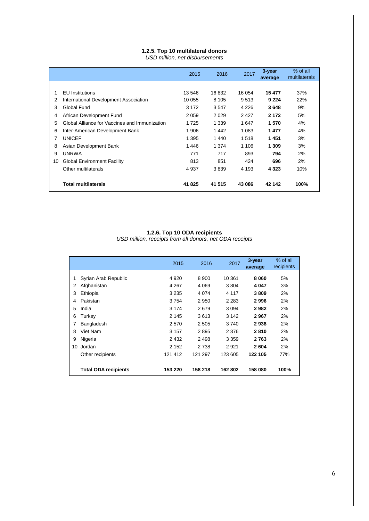### **1.2.5. Top 10 multilateral donors**

*USD million, net disbursements*

|    |                                               | 2015    | 2016    | 2017    | 3-year<br>average | % of all<br>multilaterals |
|----|-----------------------------------------------|---------|---------|---------|-------------------|---------------------------|
|    |                                               |         |         |         |                   |                           |
| 1  | <b>EU</b> Institutions                        | 13 546  | 16832   | 16 054  | 15 477            | 37%                       |
| 2  | International Development Association         | 10 055  | 8 1 0 5 | 9513    | 9 2 2 4           | 22%                       |
| 3  | Global Fund                                   | 3 1 7 2 | 3547    | 4 2 2 6 | 3648              | 9%                        |
| 4  | African Development Fund                      | 2059    | 2029    | 2427    | 2 172             | 5%                        |
| 5  | Global Alliance for Vaccines and Immunization | 1725    | 1 3 3 9 | 1647    | 1570              | 4%                        |
| 6  | Inter-American Development Bank               | 1906    | 1442    | 1 0 8 3 | 1477              | 4%                        |
| 7  | <b>UNICEF</b>                                 | 1 395   | 1440    | 1518    | 1451              | 3%                        |
| 8  | Asian Development Bank                        | 1446    | 1 3 7 4 | 1 1 0 6 | 1 309             | 3%                        |
| 9  | <b>UNRWA</b>                                  | 771     | 717     | 893     | 794               | 2%                        |
| 10 | <b>Global Environment Facility</b>            | 813     | 851     | 424     | 696               | 2%                        |
|    | Other multilaterals                           | 4937    | 3839    | 4 1 9 3 | 4 3 2 3           | 10%                       |
|    | <b>Total multilaterals</b>                    | 41825   | 41 515  | 43 086  | 42 142            | 100%                      |

#### **1.2.6. Top 10 ODA recipients**

*USD million, receipts from all donors, net ODA receipts*

|    |                             | 2015    | 2016    | 2017    | 3-year<br>average | % of all<br>recipients |
|----|-----------------------------|---------|---------|---------|-------------------|------------------------|
|    | Syrian Arab Republic        | 4 9 20  | 8 9 0 0 | 10 361  | 8 0 6 0           | 5%                     |
| 2  | Afghanistan                 | 4 267   | 4 0 6 9 | 3804    | 4 0 4 7           | 3%                     |
| 3  | Ethiopia                    | 3 2 3 5 | 4 0 7 4 | 4 1 1 7 | 3809              | 2%                     |
| 4  | Pakistan                    | 3754    | 2950    | 2 2 8 3 | 2996              | 2%                     |
| 5  | India                       | 3 174   | 2679    | 3 0 9 4 | 2982              | 2%                     |
| 6  | Turkey                      | 2 1 4 5 | 3613    | 3 1 4 2 | 2967              | 2%                     |
|    | Bangladesh                  | 2570    | 2 5 0 5 | 3740    | 2938              | 2%                     |
| 8  | Viet Nam                    | 3 1 5 7 | 2895    | 2 3 7 6 | 2810              | 2%                     |
| 9  | Nigeria                     | 2 4 3 2 | 2 4 9 8 | 3 3 5 9 | 2763              | 2%                     |
| 10 | Jordan                      | 2 1 5 2 | 2 7 3 8 | 2 9 2 1 | 2604              | 2%                     |
|    | Other recipients            | 121 412 | 121 297 | 123 605 | 122 105           | 77%                    |
|    | <b>Total ODA recipients</b> | 153 220 | 158 218 | 162 802 | 158 080           | 100%                   |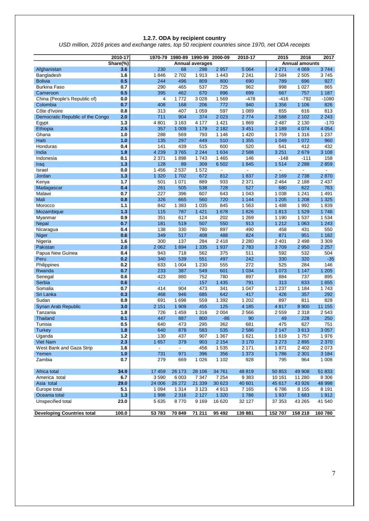#### **1.2.7. ODA by recipient country**

*USD million, 2016 prices and exchange rates, top 50 recipient countries since 1970, net ODA receipts*

|                                   | 2010-17  | 1970-79        | 1980-89        |                        | 1990-99 2000-09          | 2010-17        | 2015                     | 2016                  | 2017           |
|-----------------------------------|----------|----------------|----------------|------------------------|--------------------------|----------------|--------------------------|-----------------------|----------------|
|                                   | Share(%) |                |                | <b>Annual averages</b> |                          |                |                          | <b>Annual amounts</b> |                |
| Afghanistan                       | 3.6      | 230            | 68             | 298                    | 2957                     | 5 0 64         | 4 2 7 1                  | 4 0 6 9               | 3744           |
| Bangladesh                        | 1.6      | 1846           | 2702           | 1913                   | 1 4 4 3                  | 2 2 4 1        | 2 5 8 4                  | 2 5 0 5               | 3745           |
| <b>Bolivia</b>                    | 0.5      | 244            | 496            | 809                    | 800                      | 690            | 789                      | 696                   | 927            |
| <b>Burkina Faso</b>               | 0.7      | 290            | 465            | 537                    | 725                      | 962            | 998                      | 1 0 2 7               | 865            |
| Cameroon                          | 0.5      | 395            | 462            | 670                    | 896                      | 699            | 667                      | 757                   | 1 1 8 7        |
| China (People's Republic of)      | 0.0      | $\overline{4}$ | 1772           | 3 0 28                 | 1569                     | $-478$         | $-416$                   | $-792$                | $-1080$        |
| Colombia                          | 0.7      | 408            | 168            | 206                    | 772                      | 940            | 1 3 5 6                  | 1 1 0 6               | 826            |
| Côte d'Ivoire                     | 0.8      | 313            | 407            | 1 0 5 9                | 597                      | 1 0 8 9        | 655                      | 616                   | 813            |
| Democratic Republic of the Congo  | 2.0      | 711            | 904            | 374                    | 2 0 2 3                  | 2 7 7 4        | 2 5 8 8                  | 2 1 0 2               | 2 2 4 3        |
| Egypt                             | 1.3      | 4801           | 3 1 6 3        | 4 1 7 7                | 1 4 2 1                  | 1869           | 2 4 8 7                  | 2 1 3 0               | $-170$         |
| Ethiopia                          | 2.5      | 357            | 1 0 0 9        | 1 1 7 9                | 2 1 8 2                  | 3 4 5 1        | 3 1 8 9                  | 4 0 7 4               | 4 0 5 4        |
| Ghana                             | 1.0      | 288            | 569            | 793                    | 1 1 4 6                  | 1 4 2 0        | 1759                     | 1 3 1 6               | 1 2 3 7        |
| Haiti                             | 1.0      | 135            | 297            | 449                    | 510                      | 1 3 5 5        | 1 0 4 9                  | 1 0 7 2               | 960            |
| Honduras                          | 0.4      | 141            | 439            | 515                    | 600                      | 520            | 541                      | 412                   | 432            |
| India                             | 1.8      | 4 2 3 9        | 3765           | 2 2 4 4                | 1 6 3 4                  | 2588           | 3 2 5 1                  | 2679                  | 3 1 0 8        |
| Indonesia                         | 0.1      | 2 3 7 1        | 1898           | 1743                   | 1 4 6 5                  | 146            | $-148$                   | $-111$                | 158            |
| Iraq                              | 1.3      | 128            | 89             | 309                    | 6 5 0 2                  | 1845           | 1514                     | 2 2 8 8               | 2859           |
| Israel                            | 0.0      | 1 4 5 6        | 2 5 3 7        | 1572                   | $\overline{\phantom{a}}$ | $\blacksquare$ | $\overline{\phantom{a}}$ | $\blacksquare$        | $\blacksquare$ |
| Jordan                            | 1.3      | 1 3 2 0        | 1702           | 672                    | 812                      | 1837           | 2 1 6 9                  | 2738                  | 2870           |
| Kenya                             | 1.7      | 501            | 1 0 7 1        | 889                    | 933                      | 2 3 7 1        | 2 4 6 4                  | 2 1 8 8               | 2 4 3 7        |
| Madagascar                        | 0.4      | 261            | 505            | 538                    | 728                      | 527            | 680                      | 622                   | 763            |
| Malawi                            | 0.7      | 227            | 396            | 607                    | 643                      | 1 0 4 3        | 1 0 38                   | 1 2 4 1               | 1 4 9 1        |
| Mali                              | 0.8      | 326            | 665            | 560                    | 720                      | 1 1 4 4        | 1 205                    | 1 208                 | 1 3 2 5        |
| Morocco                           | 1.1      | 842            | 1 3 8 3        | 1 0 3 5                | 845                      | 1563           | 1 4 8 8                  | 1992                  | 1839           |
| Mozambique                        | 1.3      | 115            | 787            | 1 4 2 1                | 1 678                    | 1826           | 1813                     | 1529                  | 1746           |
| Myanmar                           | 0.9      | 351            | 617            | 124                    | 202                      | 1 2 6 9        | 1 1 9 0                  | 1537                  | 1 5 3 4        |
| <b>Nepal</b>                      | 0.7      | 181            | 519            | 507                    | 550                      | 913            | 1 2 1 2                  | 1 0 6 3               | 1 2 4 3        |
| Nicaragua                         | 0.4      | 138            | 330            | 780                    | 897                      | 490            | 458                      | 431                   | 550            |
| Niger                             | 0.6      | 349            | 517            | 408                    | 488                      | 824            | 871                      | 951                   | 1 1 8 2        |
| Nigeria                           | 1.6      | 300            | 137            | 284                    | 2418                     | 2 2 8 0        | 2 4 0 1                  | 2 4 9 8               | 3 3 0 9        |
| Pakistan                          | 2.0      | 2 0 6 2        | 1894           | 1 3 3 5                | 1937                     | 2783           | 3709                     | 2 9 5 0               | 2 2 5 7        |
| Papua New Guinea                  | 0.4      | 943            | 718            | 562                    | 375                      | 511            | 592                      | 532                   | 504            |
| Peru                              | 0.2      | 340            | 539            | 551                    | 497                      | 242            | 330                      | 320                   | $-35$          |
| Philippines                       | 0.2      | 633            | 1 0 0 4        | 1 2 3 0                | 555                      | 272            | 525                      | 284                   | 146            |
| Rwanda                            | 0.7      | 233            | 387            | 549                    | 601                      | 1 0 3 4        | 1 0 7 3                  | 1 1 4 7               | 1 2 0 5        |
| Senegal                           | 0.6      | 423            | 880            | 752                    | 780                      | 897            | 884                      | 737                   | 895            |
| Serbia                            | 0.6      | ÷.             | ÷.             | 157                    | 1 4 3 5                  | 791            | 313                      | 633                   | 1 6 5 5        |
| Somalia                           | 0.7      | 414            | 904            | 473                    | 341                      | 1 0 4 7        | 1 2 3 7                  | 1 1 8 4               | 1743           |
| Sri Lanka                         | 0.3      | 468            | 946            | 685                    | 642                      | 417            | 426                      | 357                   | 292            |
| Sudan                             | 0.9      | 691            | 1698           | 559                    | 1 3 9 2                  | 1 2 0 2        | 897                      | 811                   | 828            |
| Syrian Arab Republic              | 3.0      | 2 1 5 1        | 1 909          | 455                    | 125                      | 4 1 8 5        | 4817                     | 8 9 0 0               | 11 155         |
| Tanzania                          | 1.8      | 726            | 1 4 5 9        | 1 3 1 6                | 2 0 0 4                  | 2 5 6 6        | 2 5 5 9                  | 2 3 1 8               | 2 5 4 3        |
| <b>Thailand</b>                   | 0.1      | 447            | 887            | 800                    | $-86$                    | 90             | 49                       | 228                   | 250            |
| Tunisia                           | 0.5      | 640            | 473            | 295                    | 362                      | 681            | 475                      | 627                   | 751            |
| <b>Lurkey</b>                     | 1.8      | 640            | 878            | 583                    | 535                      | 2 586          | 2 147                    | 3613                  | 3 057          |
| Uganda                            | $1.2$    | 130            | 437            | 907                    | 1 3 6 7                  | 1621           | 1619                     | 1757                  | 1976           |
| Viet Nam                          | 2.3      | 1657           | 379            | 903                    | 2 1 5 4                  | 3 1 7 0        | 3 2 7 3                  | 2895                  | 2 3 7 0        |
| West Bank and Gaza Strip          | 1.6      | ÷.             | $\blacksquare$ | 456                    | 1535                     | 2 171          | 1871                     | 2 4 0 2               | 2 0 7 3        |
| Yemen                             | 1.0      | 731            | 971            | 396                    | 356                      | 1 3 7 3        | 1786                     | 2 3 0 1               | 3 1 8 4        |
| Zambia                            | 0.7      | 279            | 669            | 1 0 2 6                | 1 1 0 2                  | 928            | 795                      | 964                   | 1 0 0 8        |
|                                   |          |                |                |                        |                          |                |                          |                       |                |
| Africa total                      | 34.9     | 17 459         | 26 173         | 28 10 6                | 34 761                   | 48819          | 50 853                   | 49 908                | 51 833         |
| America total                     | 6.7      | 3590           | 6 0 03         | 7 3 4 7                | 7 2 5 4                  | 9383           | 10 161                   | 11 280                | 8 3 0 6        |
| Asia total                        | 29.0     | 24 006         | 26 27 2        | 21 339                 | 30 623                   | 40 601         | 45 617                   | 43 926                | 48 998         |
| Europe total                      | 5.1      | 1 0 9 4        | 1 3 1 4        | 3 1 2 3                | 4913                     | 7 1 6 5        | 6786                     | 8 1 5 5               | 8 1 9 1        |
| Oceania total                     | 1.3      | 1998           | 2 3 1 6        | 2 1 2 7                | 1 3 2 0                  | 1786           | 1937                     | 1683                  | 1912           |
| Unspecified total                 | 23.0     | 5635           | 8770           | 9 1 6 9                | 16 620                   | 32 127         | 37 353                   | 43 265                | 41 540         |
| <b>Developing Countries total</b> | 100.0    | 53 783         | 70 849         | 71 211                 | 95 492                   | 139 881        | 152 707                  | 158 218               | 160 780        |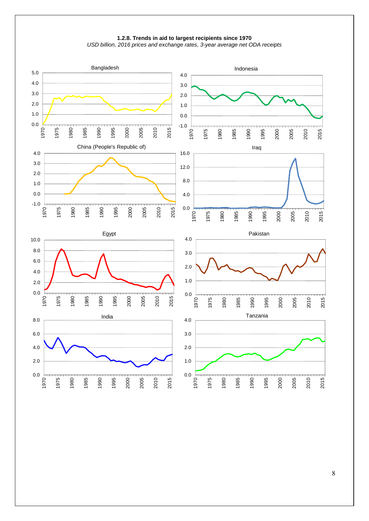

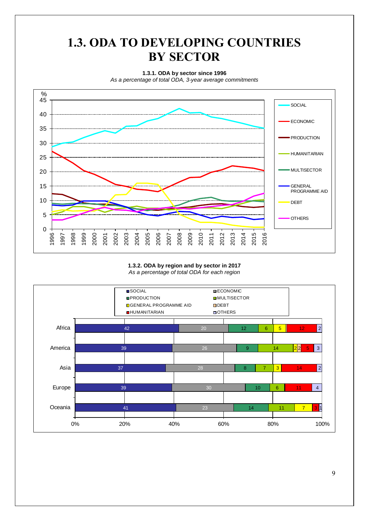## **1.3. ODA TO DEVELOPING COUNTRIES BY SECTOR**

**1.3.1. ODA by sector since 1996**

*As a percentage of total ODA, 3-year average commitments*

![](_page_8_Figure_3.jpeg)

#### **1.3.2. ODA by region and by sector in 2017** *As a percentage of total ODA for each region*

![](_page_8_Figure_5.jpeg)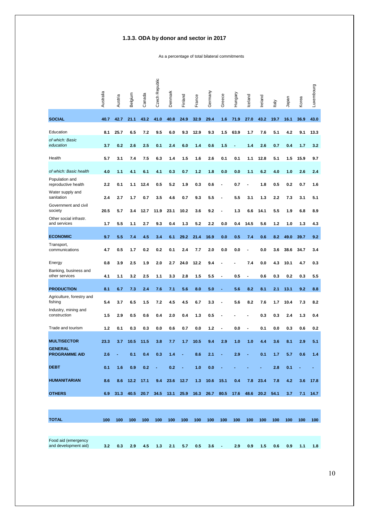### **1.3.3. ODA by donor and sector in 2017**

As a percentage of total bilateral commitments

|                                             | Australia | Austria | Belgium | Canada | Czech Republic | Denmark | Finland | France | Germany | Greece                   | Hungary | Iceland | Ireland | Italy | Japan | Korea | Luxembourg |
|---------------------------------------------|-----------|---------|---------|--------|----------------|---------|---------|--------|---------|--------------------------|---------|---------|---------|-------|-------|-------|------------|
| <b>SOCIAL</b>                               | 40.7      | 42.7    | 21.1    | 43.2   | 41.0           | 40.8    | 24.9    | 32.9   | 29.4    | 1.6                      | 71.9    | 27.0    | 43.2    | 19.7  | 16.1  | 36.9  | 43.0       |
| Education                                   | 8.1       | 25.7    | 6.5     | 7.2    | 9.5            | 6.0     | 9.3     | 12.9   | 9.3     | 1.5                      | 63.9    | 1.7     | 7.6     | 5.1   | 4.2   | 9.1   | 13.3       |
| of which: Basic<br>education                | 3.7       | 0.2     | 2.6     | 2.5    | 0.1            | 2.4     | 6.0     | 1.4    | 0.6     | 1.5                      |         | 1.4     | 2.6     | 0.7   | 0.4   | 1.7   | 3.2        |
| Health                                      | 5.7       | 3.1     | 7.4     | 7.5    | 6.3            | 1.4     | 1.5     | 1.6    | 2.6     | 0.1                      | 0.1     | 1.1     | 12.8    | 5.1   | 1.5   | 15.9  | 9.7        |
| of which: Basic health                      | 4.0       | 1.1     | 4.1     | 6.1    | 4.1            | 0.3     | 0.7     | 1.2    | 1.8     | 0.0                      | 0.0     | 1.1     | 6.2     | 4.0   | 1.0   | 2.6   | 2.4        |
| Population and<br>reproductive health       | 2.2       | 0.1     | 1.1     | 12.4   | 0.5            | 5.2     | 1.9     | 0.3    | 0.6     | $\overline{\phantom{a}}$ | 0.7     |         | 1.8     | 0.5   | 0.2   | 0.7   | 1.6        |
| Water supply and<br>sanitation              | 2.4       | 2.7     | 1.7     | 0.7    | 3.5            | 4.6     | 0.7     | 9.3    | 5.5     |                          | 5.5     | 3.1     | 1.3     | 2.2   | 7.3   | 3.1   | 5.1        |
| Government and civil<br>society             | 20.5      | 5.7     | 3.4     | 12.7   | 11.9           | 23.1    | 10.2    | 3.6    | 9.2     | $\blacksquare$           | 1.3     | 6.6     | 14.1    | 5.5   | 1.9   | 6.8   | 8.9        |
| Other social infrastr.<br>and services      | 1.7       | 5.5     | 1.1     | 2.7    | 9.3            | 0.4     | 1.3     | 5.2    | 2.2     | 0.0                      | 0.4     | 14.5    | 5.6     | 1.2   | 1.0   | 1.3   | 4.3        |
| <b>ECONOMIC</b>                             | 9.7       | 5.5     | 7.4     | 4.5    | 3.4            | 6.1     | 29.2    | 21.4   | 16.9    | 0.0                      | 0.5     | 7.4     | 0.6     | 8.2   | 49.0  | 39.7  | 9.2        |
| Transport,<br>communications                | 4.7       | 0.5     | 1.7     | 0.2    | 0.2            | 0.1     | 2.4     | 7.7    | 2.0     | 0.0                      | 0.0     |         | 0.0     | 3.6   | 38.6  | 34.7  | 3.4        |
| Energy                                      | 0.8       | 3.9     | 2.5     | 1.9    | 2.0            | 2.7     | 24.0    | 12.2   | 9.4     |                          |         | 7.4     | 0.0     | 4.3   | 10.1  | 4.7   | 0.3        |
| Banking, business and<br>other services     | 4.1       | 1.1     | 3.2     | 2.5    | 1.1            | 3.3     | 2.8     | 1.5    | 5.5     | $\overline{a}$           | 0.5     | -       | 0.6     | 0.3   | 0.2   | 0.3   | 5.5        |
| <b>PRODUCTION</b>                           | 8.1       | 6.7     | 7.3     | 2.4    | 7.6            | 7.1     | 5.6     | 8.0    | 5.0     | ÷                        | 5.6     | 8.2     | 8.1     | 2.1   | 13.1  | 9.2   | 8.8        |
| Agriculture, forestry and<br>fishing        | 5.4       | 3.7     | 6.5     | 1.5    | 7.2            | 4.5     | 4.5     | 6.7    | 3.3     |                          | 5.6     | 8.2     | 7.6     | 1.7   | 10.4  | 7.3   | 8.2        |
| Industry, mining and<br>construction        | 1.5       | 2.9     | 0.5     | 0.6    | 0.4            | 2.0     | 0.4     | 1.3    | 0.5     |                          |         |         | 0.3     | 0.3   | 2.4   | 1.3   | 0.4        |
| Trade and tourism                           | 1.2       | 0.1     | 0.3     | 0.3    | 0.0            | 0.6     | 0.7     | 0.0    | 1.2     | $\overline{\phantom{a}}$ | 0.0     |         | 0.1     | 0.0   | 0.3   | 0.6   | 0.2        |
| <b>MULTISECTOR</b>                          | 23.3      | 3.7     | 10.5    | 11.5   | 3.8            | 7.7     | 1.7     | 10.5   | 9.4     | 2.9                      | 1.0     | 1.0     | 4.4     | 3.6   | 8.1   | 2.9   | 5.1        |
| <b>GENERAL</b><br><b>PROGRAMME AID</b>      | 2.6       |         | 0.1     | 0.4    | 0.3            | 1.4     |         | 8.6    | 2.1     |                          | 2.9     |         | 0.1     | 1.7   | 5.7   | 0.6   | 1.4        |
| <b>DEBT</b>                                 | 0.1       | 1.6     | 0.9     | 0.2    |                | 0.2     |         | 1.0    | 0.0     |                          |         |         |         | 2.8   | 0.1   |       |            |
| <b>HUMANITARIAN</b>                         | 8.6       | 8.6     | 12.2    | 17.1   | 9.4            | 23.6    | 12.7    | 1.3    | 10.6    | 15.1                     | 0.4     | 7.8     | 23.4    | 7.8   | 4.2   | 3.6   | 17.8       |
| <b>OTHERS</b>                               | 6.9       | 31.3    | 40.5    | 20.7   | 34.5           | 13.1    | 25.9    | 16.3   | 26.7    | 80.5                     | 17.6    | 48.6    | 20.2    | 54.1  | 3.7   | 7.1   | 14.7       |
|                                             |           |         |         |        |                |         |         |        |         |                          |         |         |         |       |       |       |            |
| <b>TOTAL</b>                                | 100       | 100     | 100     | 100    | 100            | 100     | 100     | 100    | 100     | 100                      | 100     | 100     | 100     | 100   | 100   | 100   | 100        |
| Food aid (emergency<br>and development aid) | 3.2       | 0.3     | 2.9     | 4.5    | 1.3            | 2.1     | 5.7     | 0.5    | 3.6     | $\blacksquare$           | 2.9     | 0.9     | 1.5     | 0.6   | 0.9   | 1.1   | 1.8        |

10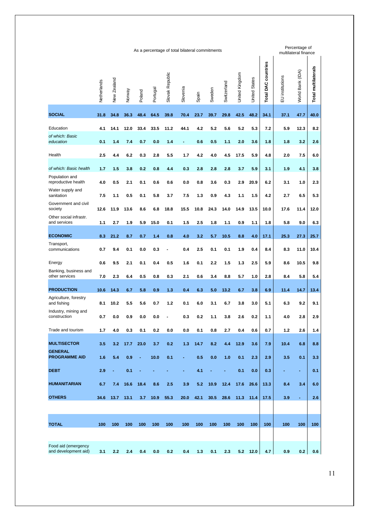|                                             | As a percentage of total bilateral commitments |             |        |        |          |                 |          |       |        |             |                |                      | Percentage of<br>multilateral finance |                 |                  |                     |  |
|---------------------------------------------|------------------------------------------------|-------------|--------|--------|----------|-----------------|----------|-------|--------|-------------|----------------|----------------------|---------------------------------------|-----------------|------------------|---------------------|--|
|                                             | Netherlands                                    | New Zealand | Norway | Poland | Portugal | Slovak Republic | Slovenia | Spain | Sweden | Switzerland | United Kingdom | <b>United States</b> | <b>DAC</b> countries<br><b>Total</b>  | EU institutions | World Bank (IDA) | Total multilaterals |  |
| <b>SOCIAL</b>                               | 31.8                                           | 34.8        | 36.3   | 48.4   | 64.5     | 39.8            | 70.4     | 23.7  | 39.7   | 29.8        | 42.5           | 48.2                 | 34.1                                  | 37.1            | 47.7             | 40.0                |  |
| Education                                   | 4.1                                            | 14.1        | 12.0   | 33.4   | 33.5     | 11.2            | 44.1     | 4.2   | 5.2    | 5.6         | 5.2            | 5.3                  | 7.2                                   | 5.9             | 12.3             | 8.2                 |  |
| of which: Basic<br>education                | 0.1                                            | 1.4         | 7.4    | 0.7    | 0.0      | 1.4             | ÷,       | 0.6   | 0.5    | 1.1         | 2.0            | 3.6                  | 1.8                                   | 1.8             | 3.2              | 2.6                 |  |
| Health                                      | 2.5                                            | 4.4         | 6.2    | 0.3    | 2.8      | 5.5             | 1.7      | 4.2   | 4.0    | 4.5         | 17.5           | 5.9                  | 4.8                                   | 2.0             | 7.5              | 6.0                 |  |
| of which: Basic health                      | 1.7                                            | 1.5         | 3.8    | 0.2    | 0.8      | 4.4             | 0.3      | 2.8   | 2.8    | 2.8         | 3.7            | 5.9                  | 3.1                                   | 1.9             | 4.1              | 3.8                 |  |
| Population and<br>reproductive health       | 4.0                                            | 0.5         | 2.1    | 0.1    | 0.6      | 0.6             | 0.0      | 0.8   | 3.6    | 0.3         | 2.9            | 20.9                 | 6.2                                   | 3.1             | 1.0              | 2.3                 |  |
| Water supply and<br>sanitation              | 7.5                                            | 1.1         | 0.5    | 0.1    | 5.8      | 3.7             | 7.5      | 1.3   | 0.9    | 4.3         | 1.1            | 1.5                  | 4.2                                   | 2.7             | 6.5              | 5.3                 |  |
| Government and civil<br>society             | 12.6                                           | 11.9        | 13.6   | 8.6    | 6.8      | 18.8            | 15.5     | 10.8  | 24.3   | 14.0        | 14.9           | 13.5                 | 10.0                                  | 17.6            | 11.4             | 12.0                |  |
| Other social infrastr.<br>and services      | 1.1                                            | 2.7         | 1.9    | 5.9    | 15.0     | 0.1             | 1.5      | 2.5   | 1.8    | 1.1         | 0.9            | 1.1                  | 1.8                                   | 5.8             | 9.0              | 6.3                 |  |
| <b>ECONOMIC</b>                             | 8.3                                            | 21.2        | 8.7    | 0.7    | 1.4      | 0.8             | 4.0      | 3.2   | 5.7    | 10.5        | 8.8            | 4.0                  | 17.1                                  | 25.3            | 27.3             | 25.7                |  |
| Transport,<br>communications                | 0.7                                            | 9.4         | 0.1    | 0.0    | 0.3      |                 | 0.4      | 2.5   | 0.1    | 0.1         | 1.9            | 0.4                  | 8.4                                   | 8.3             | 11.0             | 10.4                |  |
| Energy                                      | 0.6                                            | 9.5         | 2.1    | 0.1    | 0.4      | 0.5             | 1.6      | 0.1   | 2.2    | 1.5         | 1.3            | 2.5                  | 5.9                                   | 8.6             | 10.5             | 9.8                 |  |
| Banking, business and<br>other services     | 7.0                                            | 2.3         | 6.4    | 0.5    | 0.8      | 0.3             | 2.1      | 0.6   | 3.4    | 8.8         | 5.7            | 1.0                  | 2.8                                   | 8.4             | 5.8              | 5.4                 |  |
| <b>PRODUCTION</b>                           | 10.6                                           | 14.3        | 6.7    | 5.8    | 0.9      | 1.3             | 0.4      | 6.3   | 5.0    | 13.2        | 6.7            | 3.8                  | 6.9                                   | 11.4            | 14.7             | 13.4                |  |
| Agriculture, forestry<br>and fishing        | 8.1                                            | 10.2        | 5.5    | 5.6    | 0.7      | 1.2             | 0.1      | 6.0   | 3.1    | 6.7         | 3.8            | 3.0                  | 5.1                                   | 6.3             | 9.2              | 9.1                 |  |
| Industry, mining and<br>construction        | 0.7                                            | 0.0         | 0.9    | 0.0    | 0.0      | -               | 0.3      | 0.2   | 1.1    | 3.8         | 2.6            | 0.2                  | 1.1                                   | 4.0             | 2.8              | 2.9                 |  |
| Trade and tourism                           | 1.7                                            | 4.0         | 0.3    | 0.1    | 0.2      | 0.0             | 0.0      | 0.1   | 0.8    | 2.7         | 0.4            | 0.6                  | 0.7                                   | 1.2             | 2.6              | 1.4                 |  |
| <b>MULTISECTOR</b>                          | 3.5                                            | 3.2         | 17.7   | 23.0   | 3.7      | 0.2             | 1.3      | 14.7  | 8.2    | 4.4         | 12.9           | 3.6                  | 7.9                                   | 10.4            | 6.8              | 8.8                 |  |
| <b>GENERAL</b><br><b>PROGRAMME AID</b>      | 1.6                                            | 5.4         | 0.9    | ÷      | 10.0     | 0.1             | ÷        | 0.5   | 0.0    | 1.0         | 0.1            | 2.3                  | 2.9                                   | 3.5             | 0.1              | 3.3                 |  |
| <b>DEBT</b>                                 | 2.9                                            |             | 0.1    |        |          |                 |          | 4.1   |        |             | 0.1            | 0.0                  | 0.3                                   |                 | ٠                | 0.1                 |  |
| <b>HUMANITARIAN</b>                         | 6.7                                            | 7.4         | 16.6   | 18.4   | 8.6      | 2.5             | 3.9      | 5.2   | 10.9   | 12.4        | 17.6           | 26.6                 | 13.3                                  | 8.4             | 3.4              | 6.0                 |  |
| <b>OTHERS</b>                               | 34.6                                           | 13.7        | 13.1   | 3.7    | 10.9     | 55.3            | 20.0     | 42.1  | 30.5   | 28.6        | 11.3           | 11.4                 | 17.5                                  | 3.9             | $\blacksquare$   | 2.6                 |  |
|                                             |                                                |             |        |        |          |                 |          |       |        |             |                |                      |                                       |                 |                  |                     |  |
| <b>TOTAL</b>                                | 100                                            | 100         | 100    | 100    | 100      | 100             | 100      | 100   | 100    | 100         | 100            | 100                  | 100                                   | 100             | 100              | 100                 |  |
| Food aid (emergency<br>and development aid) | 3.1                                            | 2.2         | 2.4    | 0.4    | 0.0      | 0.2             | 0.4      | 1.3   | 0.1    | 2.3         | 5.2            | 12.0                 | 4.7                                   | 0.9             | 0.2              | 0.6                 |  |
|                                             |                                                |             |        |        |          |                 |          |       |        |             |                |                      |                                       |                 |                  |                     |  |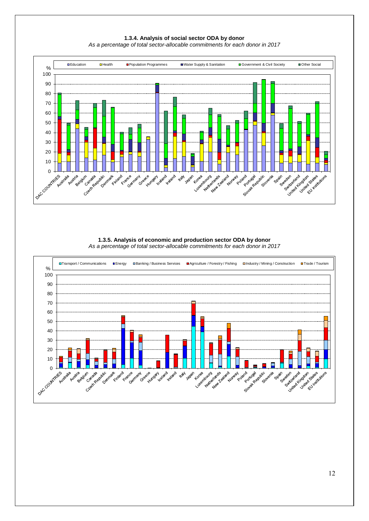![](_page_11_Figure_0.jpeg)

**1.3.4. Analysis of social sector ODA by donor** *As a percentage of total sector-allocable commitments for each donor in 2017*

#### **1.3.5. Analysis of economic and production sector ODA by donor** *As a percentage of total sector-allocable commitments for each donor in 2017*

![](_page_11_Figure_3.jpeg)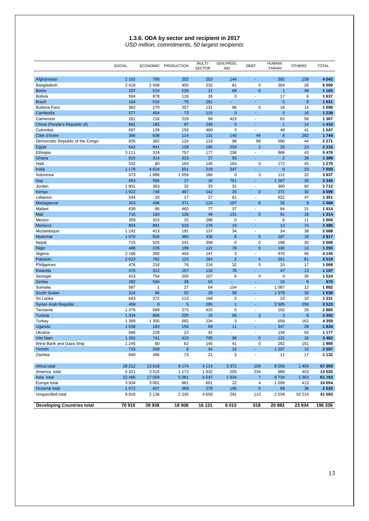#### **1.3.6. ODA by sector and recipient in 2017** *USD million, commitments, 50 largest recipients*

|                                   | <b>SOCIAL</b>      | <b>ECONOMIC</b> | <b>PRODUCTION</b>  | MULTI-<br><b>SECTOR</b> | GEN.PROG.<br><b>AID</b> | <b>DEBT</b>                   | <b>HUMANI-</b><br><b>TARIAN</b> | <b>OTHERS</b>  | <b>TOTAL</b>      |
|-----------------------------------|--------------------|-----------------|--------------------|-------------------------|-------------------------|-------------------------------|---------------------------------|----------------|-------------------|
|                                   |                    |                 |                    |                         |                         |                               |                                 |                |                   |
| Afghanistan                       | 2 1 0 2            | 790             | 202                | 253                     | 144                     |                               | 392                             | 159            | 4 0 4 2           |
| Bangladesh                        | 2418<br>207        | 2508<br>510     | 450<br>229         | 232<br>21               | 61<br>89                | $\mathbf 0$<br>$\overline{0}$ | 304<br>$\overline{1}$           | 28<br>49       | 6 000             |
| <b>Benin</b><br>Bolivia           | 594                | 878             | 116                | 26                      | $\mathbf 0$             | $\overline{\phantom{a}}$      | 17                              | 6              | 1 1 0 5<br>1637   |
| <b>Brazil</b>                     | 164                | 516             | 76                 | 261                     |                         |                               | 5                               | 9              | 1 0 3 1           |
| <b>Burkina Faso</b>               | 362                | 270             | 207                | 131                     | 96                      | $\mathbf 0$                   | 18                              | 14             | 1 0 9 9           |
| Cambodia                          | 577                | 454             | 73                 | 115                     | $\mathbf{0}$            |                               | 5                               | 16             | 1 2 3 9           |
| Cameroon                          | 261                | 216             | 229                | 99                      | 423                     | ÷,                            | 82                              | 58             | 1 3 6 7           |
| China (People's Republic of)      | 891                | 185             | 97                 | 245                     | $\mathbf{0}$            | ä,                            | $\overline{1}$                  | 14             | 1433              |
| Colombia                          | 697                | 139             | 159                | 460                     | 3                       | ä,                            | 48                              | 41             | 1547              |
| Côte d'Ivoire                     | 386                | 638             | 114                | 131                     | 140                     | 44                            | 8                               | 282            | 1744              |
| Democratic Republic of the Congo  | 835                | 362             | 124                | 119                     | 98                      | 99                            | 590                             | 44             | 2 2 7 1           |
| Egypt                             | 642                | 941             | 128                | 195                     | 254                     | $\overline{2}$                | 33                              | 23             | 2 2 1 6           |
| Ethiopia                          | 3 1 1 1            | 319             | 757                | 177                     | 206                     | $\overline{\phantom{a}}$      | 866                             | 43             | 5478              |
| Ghana                             | 615                | 314             | 323                | 27                      | 93                      | ÷.                            | $\overline{2}$                  | 26             | 1 3 9 9           |
| Haiti                             | 532                | 60              | 164                | 145                     | 164                     | $\mathbf 0$                   | 172                             | 42             | 1 2 7 9           |
| India                             | 1 1 7 8            | 4 6 2 4         | 651                | 219                     | 347                     | ÷.                            | 9                               | 23             | 7 0 5 0           |
| Indonesia                         | 573                | 1888            | 1 0 5 9            | 180                     | $\mathbf 0$             | 3                             | 112                             | 22             | 3837              |
| Iraq                              | 653                | 566             | 27                 | 16                      | 761                     | ÷                             | 1 2 8 7                         | 35             | 3 3 4 5           |
| Jordan                            | 1801               | 363             | 32                 | 33                      | 31                      | ÷,                            | 360                             | 92             | 2712              |
| Kenya                             | 1922               | 746             | 467                | 142                     | 20                      | $\mathbf 0$                   | 271                             | 30             | 3599              |
| Lebanon                           | 544                | 33              | 17                 | 27                      | 61                      | ÷,                            | 622                             | 47             | 1 3 5 1           |
| Madagascar                        | 353                | 496             | 371                | 110                     | 197                     | $\mathbf 0$                   | 35                              | 8              | 1568              |
| Malawi                            | 639                | 86              | 460                | 77                      | 37                      |                               | 84                              | 31             | 1414              |
| Mali                              | 716                | 183             | 126                | 49                      | 131                     | $\mathbf{0}$                  | 91                              | 18             | 1 3 1 4           |
| Mexico                            | 359                | 315             | 15                 | 298                     | $\mathbf 0$             | ÷,                            | 6                               | 11             | 1 0 0 4           |
| Morocco                           | 804                | 881             | 518                | 176                     | 19                      | Ξ                             | 13                              | 74             | 2485              |
| Mozambique                        | 1 2 4 2            | 413             | 191                | 137                     | 34                      | ä                             | 34                              | 38             | 2088              |
| Myanmar                           | 1 0 7 5            | 826             | 365                | 338                     | 8                       | $\mathbf{0}$                  | 187                             | 18             | 2817              |
| Nepal                             | 715                | 525             | 241                | 308                     | $\mathbf 0$             | $\mathbf 0$                   | 188                             | 30             | 2008              |
| Niger                             | 488                | 226             | 199                | 122                     | 78                      | $\mathbf{0}$                  | 130                             | 13             | 1 2 5 5           |
| Nigeria                           | 2 1 6 6            | 350             | 454                | 147                     | 3                       | ä                             | 970                             | 56             | 4 1 4 5           |
| Pakistan                          | 2 0 2 3            | 762             | 123                | 264                     | $\overline{2}$          | $\overline{4}$                | 261                             | 81             | 3519              |
| Philippines                       | 476                | 218             | 76<br>157          | 216                     | 32<br>76                | $\mathbf 0$<br>×,             | 33<br>47                        | 17             | 1 0 6 8           |
| Rwanda<br>Senegal                 | 475<br>413         | 312<br>754      | 205                | 116<br>107              | 6                       | $\mathbf 0$                   | $\overline{4}$                  | 13<br>35       | 1 1 9 7<br>1524   |
| Serbia                            | 282                | 584             | 38                 | 55                      | ä,                      | $\blacksquare$                | 10                              | 8              | 976               |
| Somalia                           | 587                | $\mathbf{1}$    | 27                 | 64                      | 104                     | $\frac{1}{2}$                 | 1 0 8 7                         | 12             | 1882              |
| South Sudan                       | 324                | 66              | 52                 | 29                      | 59                      | Ξ                             | 1 0 7 9                         | 30             | 1638              |
| Sri Lanka                         | 643                | 372             | 113                | 169                     | $\overline{2}$          | $\frac{1}{2}$                 | 23                              | 10             | 1 3 3 1           |
| Syrian Arab Republic              | 459                | 9               | $\overline{5}$     | 285                     | $\overline{1}$          | Ξ                             | 2 5 0 5                         | 259            | 3523              |
| Tanzania                          | 1 376              | 689             | 273                | 415                     | $\mathbf 0$             | ÷,                            | 102                             | 29             | 2885              |
| Tunisia                           | 1 3 3 4            | 868             | 205                | 15                      | 56                      | 3                             | 3                               | 8              | 2 4 9 2           |
| Turkey                            | 1 3 6 9            | 1 3 5 0         | 582                | 234                     | 3                       | ÷.                            | 659                             | 162            | 4 3 5 9           |
| Uganda                            | 1 0 38             | 183             | 156                | 69                      | 11                      |                               | 347                             | 29             | 1834              |
| Ukraine                           | 696                | 229             | 22                 | 42                      | ÷                       | ÷.                            | 134                             | 55             | 1 1 7 7           |
| Viet Nam                          | 1 3 5 5            | 741             | 415                | 705                     | 98                      | $\mathbf{0}$                  | 131                             | 16             | 3 4 6 2           |
| West Bank and Gaza Strip          | 1 2 4 5            | 60              | 62                 | 145                     | 41                      | $\pmb{0}$                     | 282                             | 151            | 1985              |
| Yemen                             | 715                | 509             | $\bf 8$            | 42                      | 16                      | ÷.                            | 1 2 9 7                         | 10             | 2597              |
| Zambia                            | 640                | 366             | 73                 | 21                      | 3                       | $\blacksquare$                | 11                              | 17             | 1 1 3 2           |
| Africa total                      |                    |                 |                    |                         |                         |                               |                                 |                |                   |
| America total                     | 28 21 2<br>5 3 2 1 | 13618<br>3515   | 8 1 7 4<br>1 1 7 3 | 4 1 1 4<br>1932         | 3 3 7 2<br>205          | 159<br>234                    | 8 2 5 6<br>688                  | 1 4 5 4<br>453 | 67 359<br>13 5 20 |
| Asia total                        | 22 4 66            | 17 059          | 5 0 8 1            | 4547                    | 1934                    | $\overline{7}$                | 8734                            | 1 3 6 3        | 61 193            |
| Europe total                      | 3 9 3 4            | 3 0 0 1         | 981                | 601                     | 22                      | 4                             | 1 0 9 9                         | 413            | 10 054            |
| Oceania total                     | 1 0 7 2            | 607             | 369                | 278                     | 190                     | $\mathbf 0$                   | 68                              | 36             | 2620              |
| Unspecified total                 | 9910               | 2 1 3 6         | 2 2 3 0            | 4659                    | 291                     | 113                           | 2 0 3 9                         | 20 214         | 41 593            |
|                                   |                    |                 |                    |                         |                         |                               |                                 |                |                   |
| <b>Developing Countries total</b> | 70915              | 39 938          | 18 008             | 16 131                  | 6013                    | 518                           | 20883                           | 23 934         | 196 338           |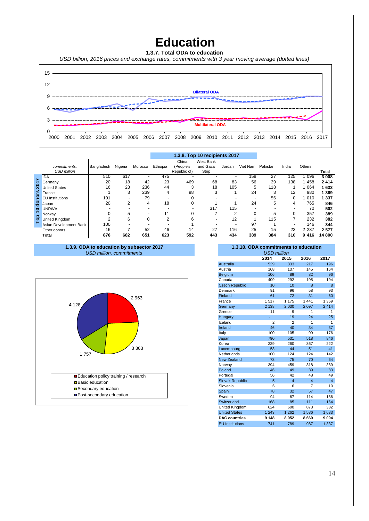## **Education**

**1.3.7. Total ODA to education** 

*USD billion, 2016 prices and exchange rates, commitments with 3 year moving average (dotted lines)*

![](_page_13_Figure_3.jpeg)

|           |                        |            |                |          | 1.3.8. Top 10 recipients 2017 |              |           |        |          |          |       |         |         |
|-----------|------------------------|------------|----------------|----------|-------------------------------|--------------|-----------|--------|----------|----------|-------|---------|---------|
|           |                        |            |                |          |                               | China        | West Bank |        |          |          |       |         |         |
|           | commitments.           | Bangladesh | Nigeria        | Morocco  | Ethiopia                      | (People's    | and Gaza  | Jordan | Viet Nam | Pakistan | India | Others  |         |
|           | <b>USD million</b>     |            |                |          |                               | Republic of) | Strip     |        |          |          |       |         | Total   |
|           | <b>IDA</b>             | 510        | 617            |          | 475                           |              |           |        | 158      | 27       | 125   | 096     | 3 0 0 8 |
| Σ         | Germany                | 20         | 18             | 42       | 23                            | 469          | 68        | 83     | 56       | 39       | 138   | 458     | 2414    |
|           | <b>United States</b>   | 16         | 23             | 236      | 44                            | 3            | 18        | 105    | 5        | 118      |       | 064     | 1633    |
| 'n,       | France                 |            | 3              | 239      | 4                             | 98           | 3         |        | 24       | 3        | 12    | 980     | 1 3 6 9 |
|           | <b>EU</b> Institutions | 191        |                | 79       | ۰                             |              |           |        |          | 56       | 0     | 010     | 1 3 3 7 |
| 용         | Japan                  | 20         | $\overline{2}$ | 4        | 18                            |              |           |        | 24       | 5        | 4     | 765     | 846     |
| 0         | <b>UNRWA</b>           |            |                |          |                               |              | 317       | 115    |          |          |       | 70      | 502     |
| $\Omega$  | Norway                 |            | 5              |          | 11                            |              |           | 2      |          | 5        | 0     | 357     | 389     |
| <u>la</u> | United Kingdom         | $\sim$     | 6              | $\Omega$ | ◠                             |              |           | 12     |          | 115      | ⇁     | 232     | 382     |
|           | Asian Development Bank | 100        |                |          |                               |              |           |        | 97       |          |       | 146     | 344     |
|           | Other donors           | 16         |                | 52       | 46                            | 14           | 27        | 116    | 25       | 15       | 23    | 2 2 3 7 | 2577    |
|           | Total                  | 876        | 682            | 651      | 623                           | 592          | 443       | 434    | 389      | 384      | 310   | 9 4 1 6 | 14 800  |

![](_page_13_Figure_5.jpeg)

![](_page_13_Figure_6.jpeg)

### **1.3.10. ODA commitments to education**

| <b>USD million</b>     |                |                         |                |                |  |  |  |  |  |  |
|------------------------|----------------|-------------------------|----------------|----------------|--|--|--|--|--|--|
|                        | 2014           | 2015                    | 2016           | 2017           |  |  |  |  |  |  |
| Australia              | 529            | 333                     | 217            | 196            |  |  |  |  |  |  |
| Austria                | 168            | 137                     | 145            | 164            |  |  |  |  |  |  |
| Belgium                | 106            | 89                      | 82             | 96             |  |  |  |  |  |  |
| Canada                 | 409            | 292                     | 195            | 194            |  |  |  |  |  |  |
| <b>Czech Republic</b>  | 10             | 10                      | 8              | 8              |  |  |  |  |  |  |
| Denmark                | 91             | 96                      | 58             | 93             |  |  |  |  |  |  |
| Finland                | 61             | 72                      | 31             | 60             |  |  |  |  |  |  |
| France                 | 1517           | 1 1 7 5                 | 1 4 4 1        | 1 3 6 9        |  |  |  |  |  |  |
| Germany                | 2 1 3 8        | 2 0 3 0                 | 2097           | 2414           |  |  |  |  |  |  |
| Greece                 | 11             | 9                       | 1              | 1              |  |  |  |  |  |  |
| Hungary                |                | 19                      | 24             | 25             |  |  |  |  |  |  |
| Iceland                | $\overline{2}$ | $\overline{2}$          | 1              | 1              |  |  |  |  |  |  |
| Ireland                | 46             | 40                      | 34             | 37             |  |  |  |  |  |  |
| Italy                  | 100            | 105                     | 99             | 176            |  |  |  |  |  |  |
| Japan                  | 790            | 531                     | 518            | 846            |  |  |  |  |  |  |
| Korea                  | 229            | 260                     | 367            | 222            |  |  |  |  |  |  |
| Luxembourg             | 53             | 44                      | 51             | 41             |  |  |  |  |  |  |
| Netherlands            | 100            | 124                     | 124            | 142            |  |  |  |  |  |  |
| <b>New Zealand</b>     | 73             | 75                      | 70             | 64             |  |  |  |  |  |  |
| Norway                 | 394            | 459                     | 318            | 389            |  |  |  |  |  |  |
| Poland                 | 46             | 49                      | 39             | 83             |  |  |  |  |  |  |
| Portugal               | 56             | 42                      | 48             | 49             |  |  |  |  |  |  |
| <b>Slovak Republic</b> | 5              | $\overline{\mathbf{4}}$ | $\overline{4}$ | $\overline{4}$ |  |  |  |  |  |  |
| Slovenia               | 6              | 6                       | 7              | 10             |  |  |  |  |  |  |
| Spain                  | 78             | 32                      | 57             | 47             |  |  |  |  |  |  |
| Sweden                 | 94             | 67                      | 114            | 186            |  |  |  |  |  |  |
| Switzerland            | 168            | 85                      | 111            | 164            |  |  |  |  |  |  |
| United Kingdom         | 624            | 600                     | 873            | 382            |  |  |  |  |  |  |
| <b>United States</b>   | 1 2 4 3        | 1 2 6 2                 | 1536           | 1 633          |  |  |  |  |  |  |
| <b>DAC</b> countries   | 9 1 4 8        | 8052                    | 8669           | 9094           |  |  |  |  |  |  |
| <b>EU</b> Institutions | 741            | 789                     | 987            | 1 337          |  |  |  |  |  |  |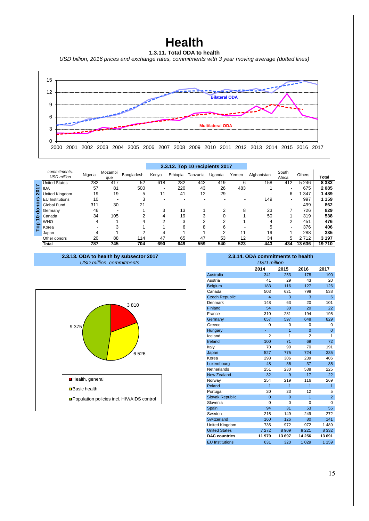### **Health**

**1.3.11. Total ODA to health** *USD billion, 2016 prices and exchange rates, commitments with 3 year moving average (dotted lines)*

![](_page_14_Figure_2.jpeg)

|     |                                    |         |                |            | 2.3.12. Top 10 recipients 2017 |          |          |        |       |             |                 |               |              |
|-----|------------------------------------|---------|----------------|------------|--------------------------------|----------|----------|--------|-------|-------------|-----------------|---------------|--------------|
|     | commitments.<br><b>USD</b> million | Nigeria | Mozambi<br>que | Bangladesh | Kenva                          | Ethiopia | Tanzania | Uganda | Yemen | Afghanistan | South<br>Africa | <b>Others</b> | <b>Total</b> |
|     | <b>United States</b>               | 282     | 417            | 52         | 618                            | 282      | 442      | 419    | 6     | 158         | 412             | 5 2 4 6       | 8 3 3 2      |
|     | <b>IDA</b>                         | 57      | 81             | 500        | $\overline{\phantom{a}}$       | 220      | 43       | 26     | 483   |             |                 | 675           | 2085         |
| 201 | United Kingdom                     | 19      | 19             | 5          | 11                             | 41       | 12       | 29     | ۰     |             | 6               | 347           | 489          |
| ၑၟ  | <b>EU</b> Institutions             | 10      |                |            |                                |          |          |        |       | 149         |                 | 997           | 159          |
| ၔႍ  | Global Fund                        | 311     | 30             | 21         |                                |          |          |        |       |             |                 | 499           | 862          |
| 용   | Germany                            | 46      |                |            | 3                              | 13       |          |        | 8     | 23          |                 | 726           | 829          |
| 0   | Canada                             | 34      | 105            |            | 4                              | 19       |          |        |       | 50          |                 | 319           | 538          |
|     | <b>WHO</b>                         |         |                |            | ົ                              | ົ        |          |        |       |             | 2               | 451           | 476          |
| å   | Korea                              |         |                |            |                                | 6        | 8        | 6      |       |             |                 | 376           | 406          |
|     | Japan                              |         |                |            |                                |          |          |        |       | 19          |                 | 288           | 335          |
|     | Other donors                       | 20      | 88             | 114        | 47                             | 65       | 47       | 53     | 12    | 34          | 5               | 2712          | 3 1 9 7      |
|     | <b>Total</b>                       | 787     | 745            | 704        | 690                            | 649      | 559      | 540    | 523   | 443         | 434             | 13 636        | 19710        |

*USD million, commitments* **2.3.13. ODA to health by subsector 2017 2.3.14. ODA commitments to health**

![](_page_14_Figure_5.jpeg)

| 2.3.14. ODA commitments to health<br><b>USD million</b> |                |                |                |                |  |  |  |  |  |  |  |
|---------------------------------------------------------|----------------|----------------|----------------|----------------|--|--|--|--|--|--|--|
| 2014<br>2015<br>2016<br>2017                            |                |                |                |                |  |  |  |  |  |  |  |
| <b>Australia</b>                                        | 341            | 253            | 178            | 190            |  |  |  |  |  |  |  |
| Austria                                                 | 41             | 29             | 43             | 20             |  |  |  |  |  |  |  |
| Belgium                                                 | 183            | 116            | 127            | 126            |  |  |  |  |  |  |  |
| Canada                                                  | 503            | 621            | 798            | 538            |  |  |  |  |  |  |  |
| <b>Czech Republic</b>                                   | 4              | 3              | 3              | 6              |  |  |  |  |  |  |  |
| Denmark                                                 | 148            | 63             | 20             | 101            |  |  |  |  |  |  |  |
| Finland                                                 | 54             | 30             | 20             | 22             |  |  |  |  |  |  |  |
| France                                                  | 310            | 281            | 194            | 195            |  |  |  |  |  |  |  |
| Germany                                                 | 657            | 597            | 648            | 829            |  |  |  |  |  |  |  |
| Greece                                                  | 0              | 0              | 0              | 0              |  |  |  |  |  |  |  |
| Hungary                                                 |                | $\overline{1}$ | $\Omega$       | $\Omega$       |  |  |  |  |  |  |  |
| Iceland                                                 | $\overline{2}$ | 1              | $\overline{2}$ | 1              |  |  |  |  |  |  |  |
| Ireland                                                 | 100            | 71             | 69             | 72             |  |  |  |  |  |  |  |
| Italy                                                   | 70             | 99             | 70             | 191            |  |  |  |  |  |  |  |
| Japan                                                   | 527            | 775            | 724            | 335            |  |  |  |  |  |  |  |
| Korea                                                   | 298            | 306            | 239            | 406            |  |  |  |  |  |  |  |
| Luxembourg                                              | 48             | 36             | 37             | 35             |  |  |  |  |  |  |  |
| Netherlands                                             | 251            | 230            | 538            | 225            |  |  |  |  |  |  |  |
| <b>New Zealand</b>                                      | 32             | 9              | 17             | 22             |  |  |  |  |  |  |  |
| Norway                                                  | 254            | 219            | 116            | 269            |  |  |  |  |  |  |  |
| Poland                                                  | 1              | $\overline{1}$ | $\overline{1}$ | 1              |  |  |  |  |  |  |  |
| Portugal                                                | 20             | 23             | 12             | 5              |  |  |  |  |  |  |  |
| <b>Slovak Republic</b>                                  | $\Omega$       | $\Omega$       | $\overline{1}$ | $\overline{2}$ |  |  |  |  |  |  |  |
| Slovenia                                                | $\Omega$       | $\Omega$       | O              | 0              |  |  |  |  |  |  |  |
| Spain                                                   | 94             | 31             | 53             | 55             |  |  |  |  |  |  |  |
| Sweden                                                  | 215            | 149            | 249            | 272            |  |  |  |  |  |  |  |
| Switzerland                                             | 160            | 126            | 80             | 141            |  |  |  |  |  |  |  |
| United Kingdom                                          | 735            | 972            | 972            | 1 4 8 9        |  |  |  |  |  |  |  |
| <b>United States</b>                                    | 7 2 7 2        | 8 9 0 9        | 9 2 2 1        | 8 3 3 2        |  |  |  |  |  |  |  |
| <b>DAC</b> countries                                    | 11 979         | 13 697         | 14 256         | 13 691         |  |  |  |  |  |  |  |
| <b>EU Institutions</b>                                  | 631            | 320            | 1 0 2 9        | 1 1 5 9        |  |  |  |  |  |  |  |